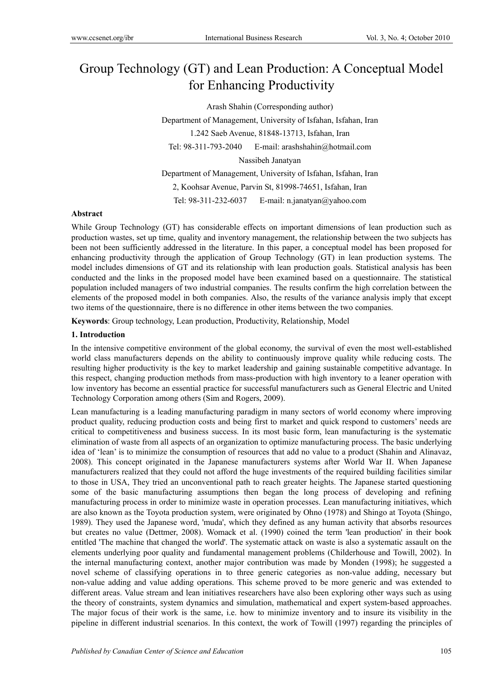# Group Technology (GT) and Lean Production: A Conceptual Model for Enhancing Productivity

Arash Shahin (Corresponding author) Department of Management, University of Isfahan, Isfahan, Iran 1.242 Saeb Avenue, 81848-13713, Isfahan, Iran Tel: 98-311-793-2040 E-mail: arashshahin@hotmail.com Nassibeh Janatyan Department of Management, University of Isfahan, Isfahan, Iran 2, Koohsar Avenue, Parvin St, 81998-74651, Isfahan, Iran Tel: 98-311-232-6037 E-mail: n.janatyan@yahoo.com

# **Abstract**

While Group Technology (GT) has considerable effects on important dimensions of lean production such as production wastes, set up time, quality and inventory management, the relationship between the two subjects has been not been sufficiently addressed in the literature. In this paper, a conceptual model has been proposed for enhancing productivity through the application of Group Technology (GT) in lean production systems. The model includes dimensions of GT and its relationship with lean production goals. Statistical analysis has been conducted and the links in the proposed model have been examined based on a questionnaire. The statistical population included managers of two industrial companies. The results confirm the high correlation between the elements of the proposed model in both companies. Also, the results of the variance analysis imply that except two items of the questionnaire, there is no difference in other items between the two companies.

**Keywords**: Group technology, Lean production, Productivity, Relationship, Model

# **1. Introduction**

In the intensive competitive environment of the global economy, the survival of even the most well-established world class manufacturers depends on the ability to continuously improve quality while reducing costs. The resulting higher productivity is the key to market leadership and gaining sustainable competitive advantage. In this respect, changing production methods from mass-production with high inventory to a leaner operation with low inventory has become an essential practice for successful manufacturers such as General Electric and United Technology Corporation among others (Sim and Rogers, 2009).

Lean manufacturing is a leading manufacturing paradigm in many sectors of world economy where improving product quality, reducing production costs and being first to market and quick respond to customers' needs are critical to competitiveness and business success. In its most basic form, lean manufacturing is the systematic elimination of waste from all aspects of an organization to optimize manufacturing process. The basic underlying idea of 'lean' is to minimize the consumption of resources that add no value to a product (Shahin and Alinavaz, 2008). This concept originated in the Japanese manufacturers systems after World War II. When Japanese manufacturers realized that they could not afford the huge investments of the required building facilities similar to those in USA, They tried an unconventional path to reach greater heights. The Japanese started questioning some of the basic manufacturing assumptions then began the long process of developing and refining manufacturing process in order to minimize waste in operation processes. Lean manufacturing initiatives, which are also known as the Toyota production system, were originated by Ohno (1978) and Shingo at Toyota (Shingo, 1989). They used the Japanese word, 'muda', which they defined as any human activity that absorbs resources but creates no value (Dettmer, 2008). Womack et al. (1990) coined the term 'lean production' in their book entitled 'The machine that changed the world'. The systematic attack on waste is also a systematic assault on the elements underlying poor quality and fundamental management problems (Childerhouse and Towill, 2002). In the internal manufacturing context, another major contribution was made by Monden (1998); he suggested a novel scheme of classifying operations in to three generic categories as non-value adding, necessary but non-value adding and value adding operations. This scheme proved to be more generic and was extended to different areas. Value stream and lean initiatives researchers have also been exploring other ways such as using the theory of constraints, system dynamics and simulation, mathematical and expert system-based approaches. The major focus of their work is the same, i.e. how to minimize inventory and to insure its visibility in the pipeline in different industrial scenarios. In this context, the work of Towill (1997) regarding the principles of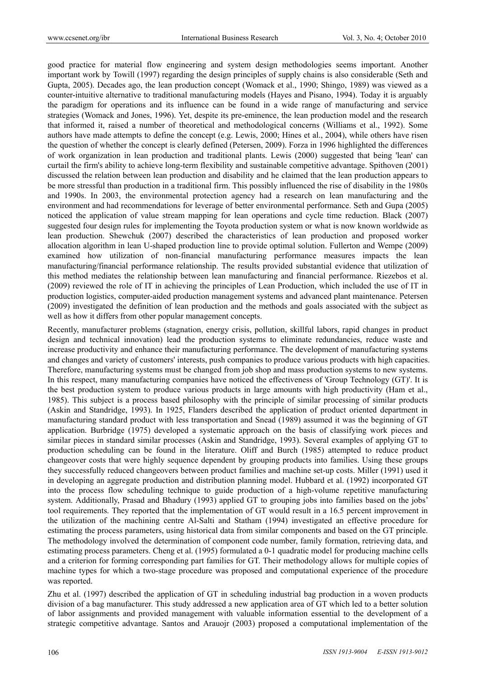good practice for material flow engineering and system design methodologies seems important. Another important work by Towill (1997) regarding the design principles of supply chains is also considerable (Seth and Gupta, 2005). Decades ago, the lean production concept (Womack et al., 1990; Shingo, 1989) was viewed as a counter-intuitive alternative to traditional manufacturing models (Hayes and Pisano, 1994). Today it is arguably the paradigm for operations and its influence can be found in a wide range of manufacturing and service strategies (Womack and Jones, 1996). Yet, despite its pre-eminence, the lean production model and the research that informed it, raised a number of theoretical and methodological concerns (Williams et al., 1992). Some authors have made attempts to define the concept (e.g. Lewis, 2000; Hines et al., 2004), while others have risen the question of whether the concept is clearly defined (Petersen, 2009). Forza in 1996 highlighted the differences of work organization in lean production and traditional plants. Lewis (2000) suggested that being 'lean' can curtail the firm's ability to achieve long-term flexibility and sustainable competitive advantage. Spithoven (2001) discussed the relation between lean production and disability and he claimed that the lean production appears to be more stressful than production in a traditional firm. This possibly influenced the rise of disability in the 1980s and 1990s. In 2003, the environmental protection agency had a research on lean manufacturing and the environment and had recommendations for leverage of better environmental performance. Seth and Gupa (2005) noticed the application of value stream mapping for lean operations and cycle time reduction. Black (2007) suggested four design rules for implementing the Toyota production system or what is now known worldwide as lean production. Shewchuk (2007) described the characteristics of lean production and proposed worker allocation algorithm in lean U-shaped production line to provide optimal solution. Fullerton and Wempe (2009) examined how utilization of non-financial manufacturing performance measures impacts the lean manufacturing/financial performance relationship. The results provided substantial evidence that utilization of this method mediates the relationship between lean manufacturing and financial performance. Riezebos et al. (2009) reviewed the role of IT in achieving the principles of Lean Production, which included the use of IT in production logistics, computer-aided production management systems and advanced plant maintenance. Petersen (2009) investigated the definition of lean production and the methods and goals associated with the subject as well as how it differs from other popular management concepts.

Recently, manufacturer problems (stagnation, energy crisis, pollution, skillful labors, rapid changes in product design and technical innovation) lead the production systems to eliminate redundancies, reduce waste and increase productivity and enhance their manufacturing performance. The development of manufacturing systems and changes and variety of customers' interests, push companies to produce various products with high capacities. Therefore, manufacturing systems must be changed from job shop and mass production systems to new systems. In this respect, many manufacturing companies have noticed the effectiveness of 'Group Technology (GT)'. It is the best production system to produce various products in large amounts with high productivity (Ham et al., 1985). This subject is a process based philosophy with the principle of similar processing of similar products (Askin and Standridge, 1993). In 1925, Flanders described the application of product oriented department in manufacturing standard product with less transportation and Snead (1989) assumed it was the beginning of GT application. Burbridge (1975) developed a systematic approach on the basis of classifying work pieces and similar pieces in standard similar processes (Askin and Standridge, 1993). Several examples of applying GT to production scheduling can be found in the literature. Oliff and Burch (1985) attempted to reduce product changeover costs that were highly sequence dependent by grouping products into families. Using these groups they successfully reduced changeovers between product families and machine set-up costs. Miller (1991) used it in developing an aggregate production and distribution planning model. Hubbard et al. (1992) incorporated GT into the process flow scheduling technique to guide production of a high-volume repetitive manufacturing system. Additionally, Prasad and Bhadury (1993) applied GT to grouping jobs into families based on the jobs' tool requirements. They reported that the implementation of GT would result in a 16.5 percent improvement in the utilization of the machining centre Al-Salti and Statham (1994) investigated an effective procedure for estimating the process parameters, using historical data from similar components and based on the GT principle. The methodology involved the determination of component code number, family formation, retrieving data, and estimating process parameters. Cheng et al. (1995) formulated a 0-1 quadratic model for producing machine cells and a criterion for forming corresponding part families for GT. Their methodology allows for multiple copies of machine types for which a two-stage procedure was proposed and computational experience of the procedure was reported.

Zhu et al. (1997) described the application of GT in scheduling industrial bag production in a woven products division of a bag manufacturer. This study addressed a new application area of GT which led to a better solution of labor assignments and provided management with valuable information essential to the development of a strategic competitive advantage. Santos and Arauojr (2003) proposed a computational implementation of the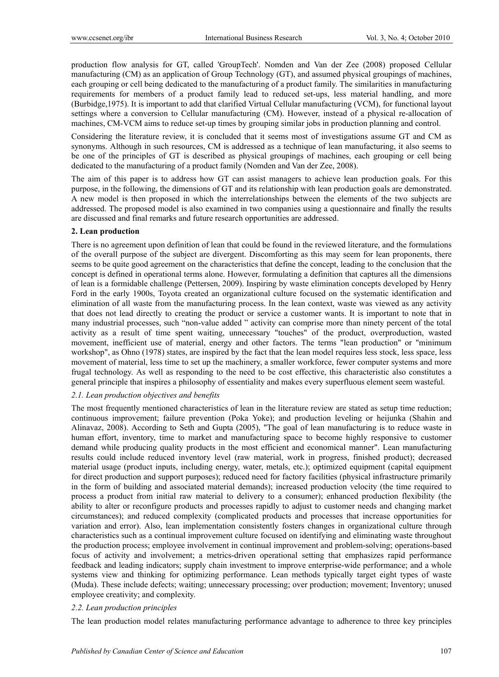production flow analysis for GT, called 'GroupTech'. Nomden and Van der Zee (2008) proposed Cellular manufacturing (CM) as an application of Group Technology (GT), and assumed physical groupings of machines, each grouping or cell being dedicated to the manufacturing of a product family. The similarities in manufacturing requirements for members of a product family lead to reduced set-ups, less material handling, and more (Burbidge,1975). It is important to add that clarified Virtual Cellular manufacturing (VCM), for functional layout settings where a conversion to Cellular manufacturing (CM). However, instead of a physical re-allocation of machines, CM-VCM aims to reduce set-up times by grouping similar jobs in production planning and control.

Considering the literature review, it is concluded that it seems most of investigations assume GT and CM as synonyms. Although in such resources, CM is addressed as a technique of lean manufacturing, it also seems to be one of the principles of GT is described as physical groupings of machines, each grouping or cell being dedicated to the manufacturing of a product family (Nomden and Van der Zee, 2008).

The aim of this paper is to address how GT can assist managers to achieve lean production goals. For this purpose, in the following, the dimensions of GT and its relationship with lean production goals are demonstrated. A new model is then proposed in which the interrelationships between the elements of the two subjects are addressed. The proposed model is also examined in two companies using a questionnaire and finally the results are discussed and final remarks and future research opportunities are addressed.

# **2. Lean production**

There is no agreement upon definition of lean that could be found in the reviewed literature, and the formulations of the overall purpose of the subject are divergent. Discomforting as this may seem for lean proponents, there seems to be quite good agreement on the characteristics that define the concept, leading to the conclusion that the concept is defined in operational terms alone. However, formulating a definition that captures all the dimensions of lean is a formidable challenge (Pettersen, 2009). Inspiring by waste elimination concepts developed by Henry Ford in the early 1900s, Toyota created an organizational culture focused on the systematic identification and elimination of all waste from the manufacturing process. In the lean context, waste was viewed as any activity that does not lead directly to creating the product or service a customer wants. It is important to note that in many industrial processes, such "non-value added " activity can comprise more than ninety percent of the total activity as a result of time spent waiting, unnecessary "touches" of the product, overproduction, wasted movement, inefficient use of material, energy and other factors. The terms "lean production" or "minimum workshop", as Ohno (1978) states, are inspired by the fact that the lean model requires less stock, less space, less movement of material, less time to set up the machinery, a smaller workforce, fewer computer systems and more frugal technology. As well as responding to the need to be cost effective, this characteristic also constitutes a general principle that inspires a philosophy of essentiality and makes every superfluous element seem wasteful.

# *2.1. Lean production objectives and benefits*

The most frequently mentioned characteristics of lean in the literature review are stated as setup time reduction; continuous improvement; failure prevention (Poka Yoke); and production leveling or heijunka (Shahin and Alinavaz, 2008). According to Seth and Gupta (2005), "The goal of lean manufacturing is to reduce waste in human effort, inventory, time to market and manufacturing space to become highly responsive to customer demand while producing quality products in the most efficient and economical manner". Lean manufacturing results could include reduced inventory level (raw material, work in progress, finished product); decreased material usage (product inputs, including energy, water, metals, etc.); optimized equipment (capital equipment for direct production and support purposes); reduced need for factory facilities (physical infrastructure primarily in the form of building and associated material demands); increased production velocity (the time required to process a product from initial raw material to delivery to a consumer); enhanced production flexibility (the ability to alter or reconfigure products and processes rapidly to adjust to customer needs and changing market circumstances); and reduced complexity (complicated products and processes that increase opportunities for variation and error). Also, lean implementation consistently fosters changes in organizational culture through characteristics such as a continual improvement culture focused on identifying and eliminating waste throughout the production process; employee involvement in continual improvement and problem-solving; operations-based focus of activity and involvement; a metrics-driven operational setting that emphasizes rapid performance feedback and leading indicators; supply chain investment to improve enterprise-wide performance; and a whole systems view and thinking for optimizing performance. Lean methods typically target eight types of waste (Muda). These include defects; waiting; unnecessary processing; over production; movement; Inventory; unused employee creativity; and complexity.

# *2.2. Lean production principles*

The lean production model relates manufacturing performance advantage to adherence to three key principles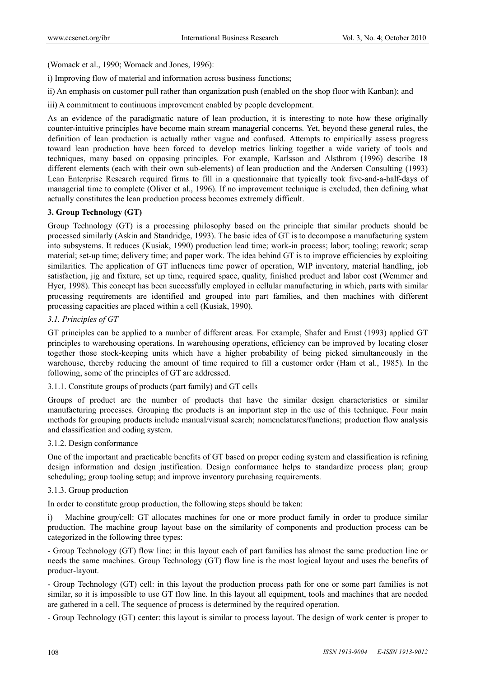(Womack et al., 1990; Womack and Jones, 1996):

- i) Improving flow of material and information across business functions;
- ii) An emphasis on customer pull rather than organization push (enabled on the shop floor with Kanban); and
- iii) A commitment to continuous improvement enabled by people development.

As an evidence of the paradigmatic nature of lean production, it is interesting to note how these originally counter-intuitive principles have become main stream managerial concerns. Yet, beyond these general rules, the definition of lean production is actually rather vague and confused. Attempts to empirically assess progress toward lean production have been forced to develop metrics linking together a wide variety of tools and techniques, many based on opposing principles. For example, Karlsson and Alsthrom (1996) describe 18 different elements (each with their own sub-elements) of lean production and the Andersen Consulting (1993) Lean Enterprise Research required firms to fill in a questionnaire that typically took five-and-a-half-days of managerial time to complete (Oliver et al., 1996). If no improvement technique is excluded, then defining what actually constitutes the lean production process becomes extremely difficult.

## **3. Group Technology (GT)**

Group Technology (GT) is a processing philosophy based on the principle that similar products should be processed similarly (Askin and Standridge, 1993). The basic idea of GT is to decompose a manufacturing system into subsystems. It reduces (Kusiak, 1990) production lead time; work-in process; labor; tooling; rework; scrap material; set-up time; delivery time; and paper work. The idea behind GT is to improve efficiencies by exploiting similarities. The application of GT influences time power of operation, WIP inventory, material handling, job satisfaction, jig and fixture, set up time, required space, quality, finished product and labor cost (Wemmer and Hyer, 1998). This concept has been successfully employed in cellular manufacturing in which, parts with similar processing requirements are identified and grouped into part families, and then machines with different processing capacities are placed within a cell (Kusiak, 1990).

#### *3.1. Principles of GT*

GT principles can be applied to a number of different areas. For example, Shafer and Ernst (1993) applied GT principles to warehousing operations. In warehousing operations, efficiency can be improved by locating closer together those stock-keeping units which have a higher probability of being picked simultaneously in the warehouse, thereby reducing the amount of time required to fill a customer order (Ham et al., 1985). In the following, some of the principles of GT are addressed.

# 3.1.1. Constitute groups of products (part family) and GT cells

Groups of product are the number of products that have the similar design characteristics or similar manufacturing processes. Grouping the products is an important step in the use of this technique. Four main methods for grouping products include manual/visual search; nomenclatures/functions; production flow analysis and classification and coding system.

#### 3.1.2. Design conformance

One of the important and practicable benefits of GT based on proper coding system and classification is refining design information and design justification. Design conformance helps to standardize process plan; group scheduling; group tooling setup; and improve inventory purchasing requirements.

## 3.1.3. Group production

In order to constitute group production, the following steps should be taken:

i) Machine group/cell: GT allocates machines for one or more product family in order to produce similar production. The machine group layout base on the similarity of components and production process can be categorized in the following three types:

- Group Technology (GT) flow line: in this layout each of part families has almost the same production line or needs the same machines. Group Technology (GT) flow line is the most logical layout and uses the benefits of product-layout.

- Group Technology (GT) cell: in this layout the production process path for one or some part families is not similar, so it is impossible to use GT flow line. In this layout all equipment, tools and machines that are needed are gathered in a cell. The sequence of process is determined by the required operation.

- Group Technology (GT) center: this layout is similar to process layout. The design of work center is proper to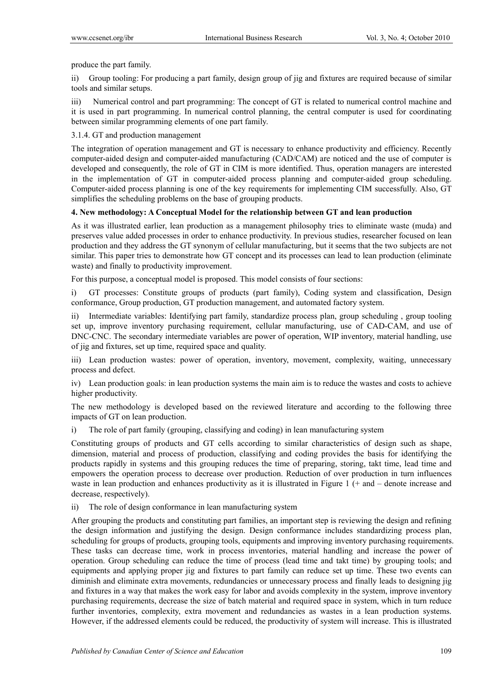produce the part family.

ii) Group tooling: For producing a part family, design group of jig and fixtures are required because of similar tools and similar setups.

iii) Numerical control and part programming: The concept of GT is related to numerical control machine and it is used in part programming. In numerical control planning, the central computer is used for coordinating between similar programming elements of one part family.

3.1.4. GT and production management

The integration of operation management and GT is necessary to enhance productivity and efficiency. Recently computer-aided design and computer-aided manufacturing (CAD/CAM) are noticed and the use of computer is developed and consequently, the role of GT in CIM is more identified. Thus, operation managers are interested in the implementation of GT in computer-aided process planning and computer-aided group scheduling. Computer-aided process planning is one of the key requirements for implementing CIM successfully. Also, GT simplifies the scheduling problems on the base of grouping products.

# **4. New methodology: A Conceptual Model for the relationship between GT and lean production**

As it was illustrated earlier, lean production as a management philosophy tries to eliminate waste (muda) and preserves value added processes in order to enhance productivity. In previous studies, researcher focused on lean production and they address the GT synonym of cellular manufacturing, but it seems that the two subjects are not similar. This paper tries to demonstrate how GT concept and its processes can lead to lean production (eliminate waste) and finally to productivity improvement.

For this purpose, a conceptual model is proposed. This model consists of four sections:

i) GT processes: Constitute groups of products (part family), Coding system and classification, Design conformance, Group production, GT production management, and automated factory system.

ii) Intermediate variables: Identifying part family, standardize process plan, group scheduling , group tooling set up, improve inventory purchasing requirement, cellular manufacturing, use of CAD-CAM, and use of DNC-CNC. The secondary intermediate variables are power of operation, WIP inventory, material handling, use of jig and fixtures, set up time, required space and quality.

iii) Lean production wastes: power of operation, inventory, movement, complexity, waiting, unnecessary process and defect.

iv) Lean production goals: in lean production systems the main aim is to reduce the wastes and costs to achieve higher productivity.

The new methodology is developed based on the reviewed literature and according to the following three impacts of GT on lean production.

i) The role of part family (grouping, classifying and coding) in lean manufacturing system

Constituting groups of products and GT cells according to similar characteristics of design such as shape, dimension, material and process of production, classifying and coding provides the basis for identifying the products rapidly in systems and this grouping reduces the time of preparing, storing, takt time, lead time and empowers the operation process to decrease over production. Reduction of over production in turn influences waste in lean production and enhances productivity as it is illustrated in Figure 1 (+ and – denote increase and decrease, respectively).

ii) The role of design conformance in lean manufacturing system

After grouping the products and constituting part families, an important step is reviewing the design and refining the design information and justifying the design. Design conformance includes standardizing process plan, scheduling for groups of products, grouping tools, equipments and improving inventory purchasing requirements. These tasks can decrease time, work in process inventories, material handling and increase the power of operation. Group scheduling can reduce the time of process (lead time and takt time) by grouping tools; and equipments and applying proper jig and fixtures to part family can reduce set up time. These two events can diminish and eliminate extra movements, redundancies or unnecessary process and finally leads to designing jig and fixtures in a way that makes the work easy for labor and avoids complexity in the system, improve inventory purchasing requirements, decrease the size of batch material and required space in system, which in turn reduce further inventories, complexity, extra movement and redundancies as wastes in a lean production systems. However, if the addressed elements could be reduced, the productivity of system will increase. This is illustrated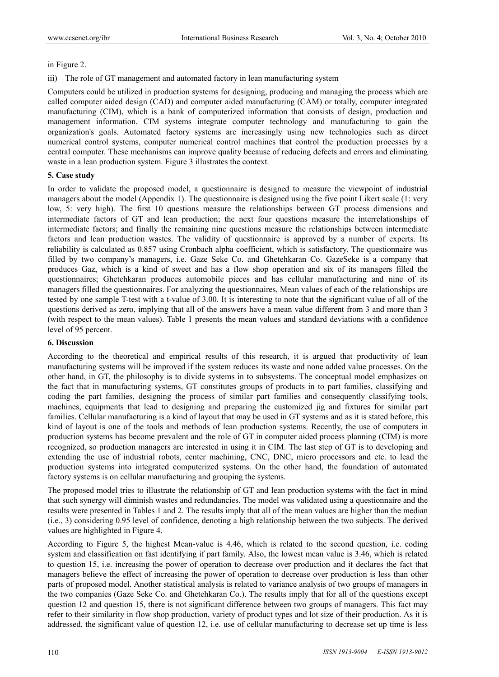in Figure 2.

iii) The role of GT management and automated factory in lean manufacturing system

Computers could be utilized in production systems for designing, producing and managing the process which are called computer aided design (CAD) and computer aided manufacturing (CAM) or totally, computer integrated manufacturing (CIM), which is a bank of computerized information that consists of design, production and management information. CIM systems integrate computer technology and manufacturing to gain the organization's goals. Automated factory systems are increasingly using new technologies such as direct numerical control systems, computer numerical control machines that control the production processes by a central computer. These mechanisms can improve quality because of reducing defects and errors and eliminating waste in a lean production system. Figure 3 illustrates the context.

## **5. Case study**

In order to validate the proposed model, a questionnaire is designed to measure the viewpoint of industrial managers about the model (Appendix 1). The questionnaire is designed using the five point Likert scale (1: very low, 5: very high). The first 10 questions measure the relationships between GT process dimensions and intermediate factors of GT and lean production; the next four questions measure the interrelationships of intermediate factors; and finally the remaining nine questions measure the relationships between intermediate factors and lean production wastes. The validity of questionnaire is approved by a number of experts. Its reliability is calculated as 0.857 using Cronbach alpha coefficient, which is satisfactory. The questionnaire was filled by two company's managers, i.e. Gaze Seke Co. and Ghetehkaran Co. GazeSeke is a company that produces Gaz, which is a kind of sweet and has a flow shop operation and six of its managers filled the questionnaires; Ghetehkaran produces automobile pieces and has cellular manufacturing and nine of its managers filled the questionnaires. For analyzing the questionnaires, Mean values of each of the relationships are tested by one sample T-test with a t-value of 3.00. It is interesting to note that the significant value of all of the questions derived as zero, implying that all of the answers have a mean value different from 3 and more than 3 (with respect to the mean values). Table 1 presents the mean values and standard deviations with a confidence level of 95 percent.

# **6. Discussion**

According to the theoretical and empirical results of this research, it is argued that productivity of lean manufacturing systems will be improved if the system reduces its waste and none added value processes. On the other hand, in GT, the philosophy is to divide systems in to subsystems. The conceptual model emphasizes on the fact that in manufacturing systems, GT constitutes groups of products in to part families, classifying and coding the part families, designing the process of similar part families and consequently classifying tools, machines, equipments that lead to designing and preparing the customized jig and fixtures for similar part families. Cellular manufacturing is a kind of layout that may be used in GT systems and as it is stated before, this kind of layout is one of the tools and methods of lean production systems. Recently, the use of computers in production systems has become prevalent and the role of GT in computer aided process planning (CIM) is more recognized, so production managers are interested in using it in CIM. The last step of GT is to developing and extending the use of industrial robots, center machining, CNC, DNC, micro processors and etc. to lead the production systems into integrated computerized systems. On the other hand, the foundation of automated factory systems is on cellular manufacturing and grouping the systems.

The proposed model tries to illustrate the relationship of GT and lean production systems with the fact in mind that such synergy will diminish wastes and redundancies. The model was validated using a questionnaire and the results were presented in Tables 1 and 2. The results imply that all of the mean values are higher than the median (i.e., 3) considering 0.95 level of confidence, denoting a high relationship between the two subjects. The derived values are highlighted in Figure 4.

According to Figure 5, the highest Mean-value is 4.46, which is related to the second question, i.e. coding system and classification on fast identifying if part family. Also, the lowest mean value is 3.46, which is related to question 15, i.e. increasing the power of operation to decrease over production and it declares the fact that managers believe the effect of increasing the power of operation to decrease over production is less than other parts of proposed model. Another statistical analysis is related to variance analysis of two groups of managers in the two companies (Gaze Seke Co. and Ghetehkaran Co.). The results imply that for all of the questions except question 12 and question 15, there is not significant difference between two groups of managers. This fact may refer to their similarity in flow shop production, variety of product types and lot size of their production. As it is addressed, the significant value of question 12, i.e. use of cellular manufacturing to decrease set up time is less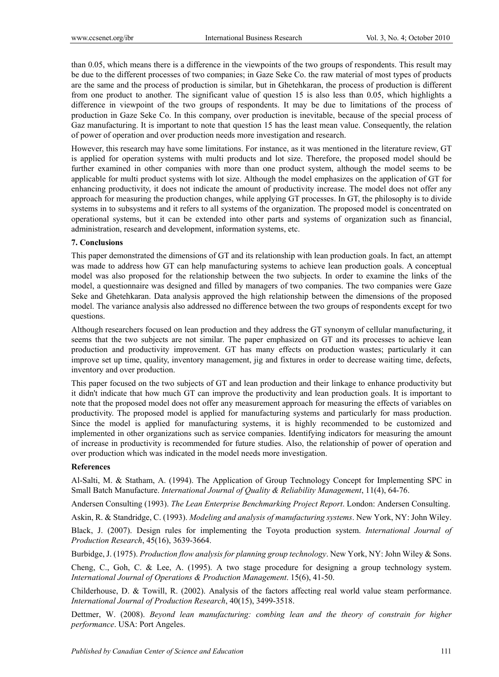than 0.05, which means there is a difference in the viewpoints of the two groups of respondents. This result may be due to the different processes of two companies; in Gaze Seke Co. the raw material of most types of products are the same and the process of production is similar, but in Ghetehkaran, the process of production is different from one product to another. The significant value of question 15 is also less than 0.05, which highlights a difference in viewpoint of the two groups of respondents. It may be due to limitations of the process of production in Gaze Seke Co. In this company, over production is inevitable, because of the special process of Gaz manufacturing. It is important to note that question 15 has the least mean value. Consequently, the relation of power of operation and over production needs more investigation and research.

However, this research may have some limitations. For instance, as it was mentioned in the literature review, GT is applied for operation systems with multi products and lot size. Therefore, the proposed model should be further examined in other companies with more than one product system, although the model seems to be applicable for multi product systems with lot size. Although the model emphasizes on the application of GT for enhancing productivity, it does not indicate the amount of productivity increase. The model does not offer any approach for measuring the production changes, while applying GT processes. In GT, the philosophy is to divide systems in to subsystems and it refers to all systems of the organization. The proposed model is concentrated on operational systems, but it can be extended into other parts and systems of organization such as financial, administration, research and development, information systems, etc.

# **7. Conclusions**

This paper demonstrated the dimensions of GT and its relationship with lean production goals. In fact, an attempt was made to address how GT can help manufacturing systems to achieve lean production goals. A conceptual model was also proposed for the relationship between the two subjects. In order to examine the links of the model, a questionnaire was designed and filled by managers of two companies. The two companies were Gaze Seke and Ghetehkaran. Data analysis approved the high relationship between the dimensions of the proposed model. The variance analysis also addressed no difference between the two groups of respondents except for two questions.

Although researchers focused on lean production and they address the GT synonym of cellular manufacturing, it seems that the two subjects are not similar. The paper emphasized on GT and its processes to achieve lean production and productivity improvement. GT has many effects on production wastes; particularly it can improve set up time, quality, inventory management, jig and fixtures in order to decrease waiting time, defects, inventory and over production.

This paper focused on the two subjects of GT and lean production and their linkage to enhance productivity but it didn't indicate that how much GT can improve the productivity and lean production goals. It is important to note that the proposed model does not offer any measurement approach for measuring the effects of variables on productivity. The proposed model is applied for manufacturing systems and particularly for mass production. Since the model is applied for manufacturing systems, it is highly recommended to be customized and implemented in other organizations such as service companies. Identifying indicators for measuring the amount of increase in productivity is recommended for future studies. Also, the relationship of power of operation and over production which was indicated in the model needs more investigation.

# **References**

Al-Salti, M. & Statham, A. (1994). The Application of Group Technology Concept for Implementing SPC in Small Batch Manufacture. *International Journal of Quality & Reliability Management*, 11(4), 64-76.

Andersen Consulting (1993). *The Lean Enterprise Benchmarking Project Report*. London: Andersen Consulting.

Askin, R. & Standridge, C. (1993). *Modeling and analysis of manufacturing systems*. New York, NY: John Wiley.

Black, J. (2007). Design rules for implementing the Toyota production system. *International Journal of Production Research*, 45(16), 3639-3664.

Burbidge, J. (1975). *Production flow analysis for planning group technology*. New York, NY: John Wiley & Sons.

Cheng, C., Goh, C. & Lee, A. (1995). A two stage procedure for designing a group technology system. *International Journal of Operations & Production Management*. 15(6), 41-50.

Childerhouse, D. & Towill, R. (2002). Analysis of the factors affecting real world value steam performance. *International Journal of Production Research*, 40(15), 3499-3518.

Dettmer, W. (2008). *Beyond lean manufacturing: combing lean and the theory of constrain for higher performance*. USA: Port Angeles.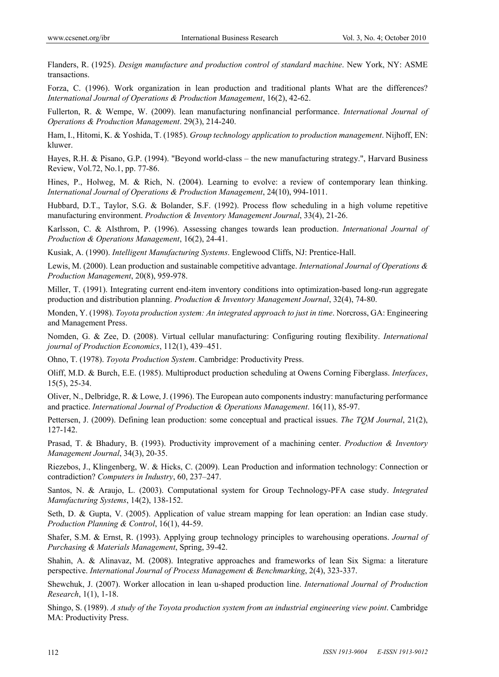Flanders, R. (1925). *Design manufacture and production control of standard machine*. New York, NY: ASME transactions.

Forza, C. (1996). Work organization in lean production and traditional plants What are the differences? *International Journal of Operations & Production Management*, 16(2), 42-62.

Fullerton, R. & Wempe, W. (2009). lean manufacturing nonfinancial performance. *International Journal of Operations & Production Management*. 29(3), 214-240.

Ham, I., Hitomi, K. & Yoshida, T. (1985). *Group technology application to production management*. Nijhoff, EN: kluwer.

Hayes, R.H. & Pisano, G.P. (1994). "Beyond world-class – the new manufacturing strategy.", Harvard Business Review, Vol.72, No.1, pp. 77-86.

Hines, P., Holweg, M. & Rich, N. (2004). Learning to evolve: a review of contemporary lean thinking. *International Journal of Operations & Production Management*, 24(10), 994-1011.

Hubbard, D.T., Taylor, S.G. & Bolander, S.F. (1992). Process flow scheduling in a high volume repetitive manufacturing environment. *Production & Inventory Management Journal*, 33(4), 21-26.

Karlsson, C. & Alsthrom, P. (1996). Assessing changes towards lean production. *International Journal of Production & Operations Management*, 16(2), 24-41.

Kusiak, A. (1990). *Intelligent Manufacturing Systems*. Englewood Cliffs, NJ: Prentice-Hall.

Lewis, M. (2000). Lean production and sustainable competitive advantage. *International Journal of Operations & Production Management*, 20(8), 959-978.

Miller, T. (1991). Integrating current end-item inventory conditions into optimization-based long-run aggregate production and distribution planning. *Production & Inventory Management Journal*, 32(4), 74-80.

Monden, Y. (1998). *Toyota production system: An integrated approach to just in time*. Norcross, GA: Engineering and Management Press.

Nomden, G. & Zee, D. (2008). Virtual cellular manufacturing: Configuring routing flexibility. *International journal of Production Economics*, 112(1), 439–451.

Ohno, T. (1978). *Toyota Production System*. Cambridge: Productivity Press.

Oliff, M.D. & Burch, E.E. (1985). Multiproduct production scheduling at Owens Corning Fiberglass. *Interfaces*, 15(5), 25-34.

Oliver, N., Delbridge, R. & Lowe, J. (1996). The European auto components industry: manufacturing performance and practice. *International Journal of Production & Operations Management*. 16(11), 85-97.

Pettersen, J. (2009). Defining lean production: some conceptual and practical issues. *The TQM Journal*, 21(2), 127-142.

Prasad, T. & Bhadury, B. (1993). Productivity improvement of a machining center. *Production & Inventory Management Journal*, 34(3), 20-35.

Riezebos, J., Klingenberg, W. & Hicks, C. (2009). Lean Production and information technology: Connection or contradiction? *Computers in Industry*, 60, 237–247.

Santos, N. & Araujo, L. (2003). Computational system for Group Technology-PFA case study. *Integrated Manufacturing Systems*, 14(2), 138-152.

Seth, D. & Gupta, V. (2005). Application of value stream mapping for lean operation: an Indian case study. *Production Planning & Control*, 16(1), 44-59.

Shafer, S.M. & Ernst, R. (1993). Applying group technology principles to warehousing operations. *Journal of Purchasing & Materials Management*, Spring, 39-42.

Shahin, A. & Alinavaz, M. (2008). Integrative approaches and frameworks of lean Six Sigma: a literature perspective. *International Journal of Process Management & Benchmarking*, 2(4), 323-337.

Shewchuk, J. (2007). Worker allocation in lean u-shaped production line. *International Journal of Production Research*, 1(1), 1-18.

Shingo, S. (1989). *A study of the Toyota production system from an industrial engineering view point*. Cambridge MA: Productivity Press.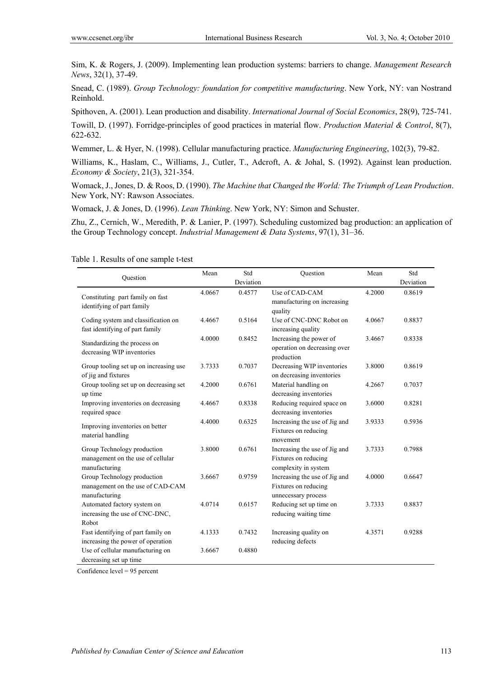Sim, K. & Rogers, J. (2009). Implementing lean production systems: barriers to change. *Management Research News*, 32(1), 37-49.

Snead, C. (1989). *Group Technology: foundation for competitive manufacturing*. New York, NY: van Nostrand Reinhold.

Spithoven, A. (2001). Lean production and disability. *International Journal of Social Economics*, 28(9), 725-741.

Towill, D. (1997). Forridge-principles of good practices in material flow. *Production Material & Control*, 8(7), 622-632.

Wemmer, L. & Hyer, N. (1998). Cellular manufacturing practice. *Manufacturing Engineering*, 102(3), 79-82.

Williams, K., Haslam, C., Williams, J., Cutler, T., Adcroft, A. & Johal, S. (1992). Against lean production. *Economy & Society*, 21(3), 321-354.

Womack, J., Jones, D. & Roos, D. (1990). *The Machine that Changed the World: The Triumph of Lean Production*. New York, NY: Rawson Associates.

Womack, J. & Jones, D. (1996). *Lean Thinking*. New York, NY: Simon and Schuster.

Zhu, Z., Cernich, W., Meredith, P. & Lanier, P. (1997). Scheduling customized bag production: an application of the Group Technology concept. *Industrial Management & Data Systems*, 97(1), 31–36.

Table 1. Results of one sample t-test

| Question                                                                          | Mean   | Std<br>Ouestion |                                                                               | Mean   | Std       |
|-----------------------------------------------------------------------------------|--------|-----------------|-------------------------------------------------------------------------------|--------|-----------|
|                                                                                   |        | Deviation       |                                                                               |        | Deviation |
| Constituting part family on fast<br>identifying of part family                    | 4.0667 | 0.4577          | Use of CAD-CAM<br>manufacturing on increasing<br>quality                      | 4.2000 | 0.8619    |
| Coding system and classification on<br>fast identifying of part family            | 4.4667 | 0.5164          | Use of CNC-DNC Robot on<br>increasing quality                                 | 4.0667 | 0.8837    |
| Standardizing the process on<br>decreasing WIP inventories                        | 4.0000 | 0.8452          | Increasing the power of<br>operation on decreasing over<br>production         | 3.4667 | 0.8338    |
| Group tooling set up on increasing use<br>of jig and fixtures                     | 3.7333 | 0.7037          | Decreasing WIP inventories<br>on decreasing inventories                       | 3.8000 | 0.8619    |
| Group tooling set up on decreasing set<br>up time                                 | 4.2000 | 0.6761          | Material handling on<br>decreasing inventories                                | 4.2667 | 0.7037    |
| Improving inventories on decreasing<br>required space                             | 4.4667 | 0.8338          | Reducing required space on<br>decreasing inventories                          | 3.6000 | 0.8281    |
| Improving inventories on better<br>material handling                              | 4.4000 | 0.6325          | Increasing the use of Jig and<br>Fixtures on reducing<br>movement             | 3.9333 | 0.5936    |
| Group Technology production<br>management on the use of cellular<br>manufacturing | 3.8000 | 0.6761          | Increasing the use of Jig and<br>Fixtures on reducing<br>complexity in system | 3.7333 | 0.7988    |
| Group Technology production<br>management on the use of CAD-CAM<br>manufacturing  | 3.6667 | 0.9759          | Increasing the use of Jig and<br>Fixtures on reducing<br>unnecessary process  | 4.0000 | 0.6647    |
| Automated factory system on<br>increasing the use of CNC-DNC,<br>Robot            | 4.0714 | 0.6157          | Reducing set up time on<br>reducing waiting time                              | 3.7333 | 0.8837    |
| Fast identifying of part family on<br>increasing the power of operation           | 4.1333 | 0.7432          | Increasing quality on<br>reducing defects                                     | 4.3571 | 0.9288    |
| Use of cellular manufacturing on<br>decreasing set up time                        | 3.6667 | 0.4880          |                                                                               |        |           |

Confidence level = 95 percent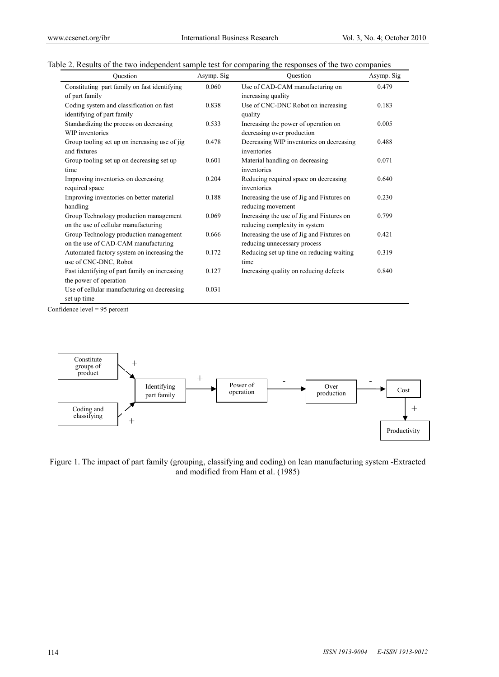| Table 2. Results of the two independent sample test for comparing the responses of the two companies |  |  |
|------------------------------------------------------------------------------------------------------|--|--|
|                                                                                                      |  |  |
|                                                                                                      |  |  |
|                                                                                                      |  |  |

| Ouestion                                                                       | Asymp. Sig | Ouestion                                                                   | Asymp. Sig |
|--------------------------------------------------------------------------------|------------|----------------------------------------------------------------------------|------------|
| Constituting part family on fast identifying<br>of part family                 | 0.060      | Use of CAD-CAM manufacturing on<br>increasing quality                      | 0.479      |
| Coding system and classification on fast<br>identifying of part family         | 0.838      | Use of CNC-DNC Robot on increasing<br>quality                              | 0.183      |
| Standardizing the process on decreasing<br>WIP inventories                     | 0.533      | Increasing the power of operation on<br>decreasing over production         | 0.005      |
| Group tooling set up on increasing use of jig<br>and fixtures                  | 0.478      | Decreasing WIP inventories on decreasing<br>inventories                    | 0.488      |
| Group tooling set up on decreasing set up<br>time                              | 0.601      | Material handling on decreasing<br>inventories                             | 0.071      |
| Improving inventories on decreasing<br>required space                          | 0.204      | Reducing required space on decreasing<br>inventories                       | 0.640      |
| Improving inventories on better material<br>handling                           | 0.188      | Increasing the use of Jig and Fixtures on<br>reducing movement             | 0.230      |
| Group Technology production management<br>on the use of cellular manufacturing | 0.069      | Increasing the use of Jig and Fixtures on<br>reducing complexity in system | 0.799      |
| Group Technology production management<br>on the use of CAD-CAM manufacturing  | 0.666      | Increasing the use of Jig and Fixtures on<br>reducing unnecessary process  | 0.421      |
| Automated factory system on increasing the<br>use of CNC-DNC, Robot            | 0.172      | Reducing set up time on reducing waiting<br>time                           | 0.319      |
| Fast identifying of part family on increasing<br>the power of operation        | 0.127      | Increasing quality on reducing defects                                     | 0.840      |
| Use of cellular manufacturing on decreasing<br>set up time                     | 0.031      |                                                                            |            |

Confidence level = 95 percent



Figure 1. The impact of part family (grouping, classifying and coding) on lean manufacturing system -Extracted and modified from Ham et al. (1985)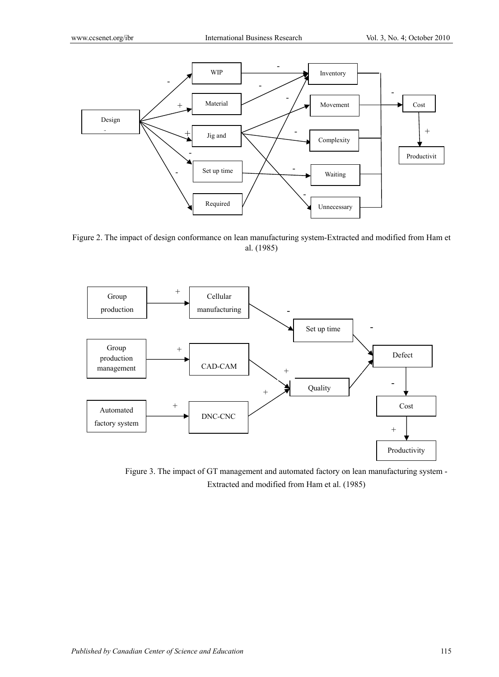

Figure 2. The impact of design conformance on lean manufacturing system-Extracted and modified from Ham et al. (1985)



Figure 3. The impact of GT management and automated factory on lean manufacturing system - Extracted and modified from Ham et al. (1985)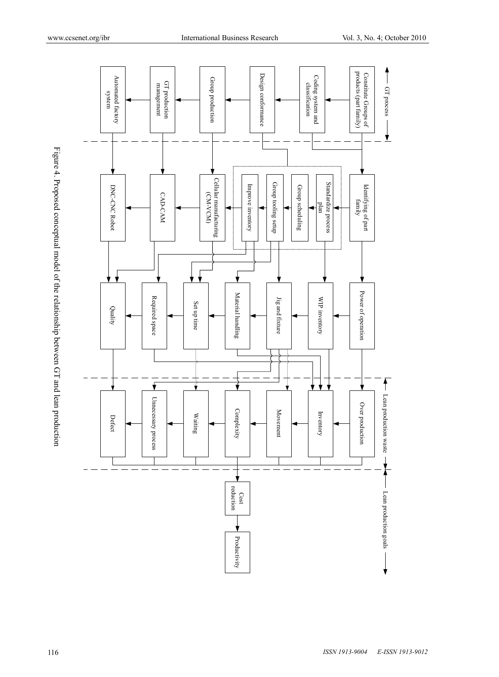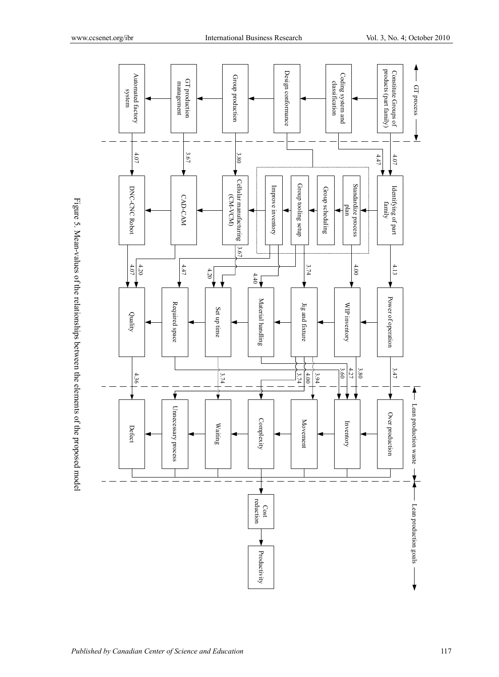